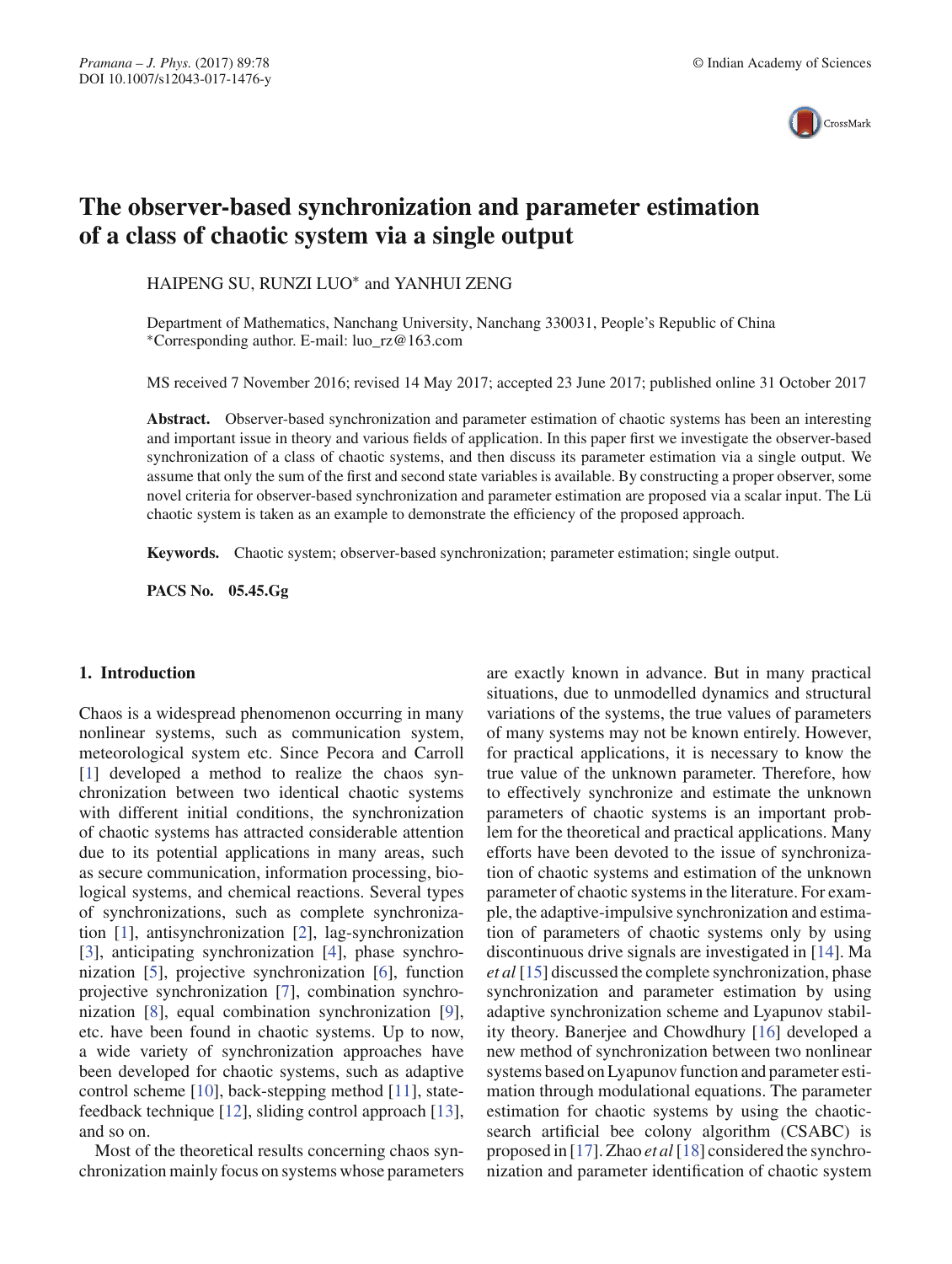

# **The observer-based synchronization and parameter estimation of a class of chaotic system via a single output**

HAIPENG SU, RUNZI LUO∗ and YANHUI ZENG

Department of Mathematics, Nanchang University, Nanchang 330031, People's Republic of China ∗Corresponding author. E-mail: luo\_rz@163.com

MS received 7 November 2016; revised 14 May 2017; accepted 23 June 2017; published online 31 October 2017

**Abstract.** Observer-based synchronization and parameter estimation of chaotic systems has been an interesting and important issue in theory and various fields of application. In this paper first we investigate the observer-based synchronization of a class of chaotic systems, and then discuss its parameter estimation via a single output. We assume that only the sum of the first and second state variables is available. By constructing a proper observer, some novel criteria for observer-based synchronization and parameter estimation are proposed via a scalar input. The Lü chaotic system is taken as an example to demonstrate the efficiency of the proposed approach.

**Keywords.** Chaotic system; observer-based synchronization; parameter estimation; single output.

**PACS No. 05.45.Gg**

#### **1. Introduction**

Chaos is a widespread phenomenon occurring in many nonlinear systems, such as communication system, meteorological system etc. Since Pecora and Carroll [1] developed a method to realize the chaos synchronization between two identical chaotic systems with different initial conditions, the synchronization of chaotic systems has attracted considerable attention due to its potential applications in many areas, such as secure communication, information processing, biological systems, and chemical reactions. Several types of synchronizations, such as complete synchronization [1], antisynchronization [2], lag-synchronization [3], anticipating synchronization [4], phase synchronization [5], projective synchronization [6], function projective synchronization [7], combination synchronization [8], equal combination synchronization [9], etc. have been found in chaotic systems. Up to now, a wide variety of synchronization approaches have been developed for chaotic systems, such as adaptive control scheme [10], back-stepping method [11], statefeedback technique [12], sliding control approach [13], and so on.

Most of the theoretical results concerning chaos synchronization mainly focus on systems whose parameters are exactly known in advance. But in many practical situations, due to unmodelled dynamics and structural variations of the systems, the true values of parameters of many systems may not be known entirely. However, for practical applications, it is necessary to know the true value of the unknown parameter. Therefore, how to effectively synchronize and estimate the unknown parameters of chaotic systems is an important problem for the theoretical and practical applications. Many efforts have been devoted to the issue of synchronization of chaotic systems and estimation of the unknown parameter of chaotic systems in the literature. For example, the adaptive-impulsive synchronization and estimation of parameters of chaotic systems only by using discontinuous drive signals are investigated in [14]. Ma *et al* [15] discussed the complete synchronization, phase synchronization and parameter estimation by using adaptive synchronization scheme and Lyapunov stability theory. Banerjee and Chowdhury [16] developed a new method of synchronization between two nonlinear systems based on Lyapunov function and parameter estimation through modulational equations. The parameter estimation for chaotic systems by using the chaoticsearch artificial bee colony algorithm (CSABC) is proposed in [17]. Zhao *et al* [18] considered the synchronization and parameter identification of chaotic system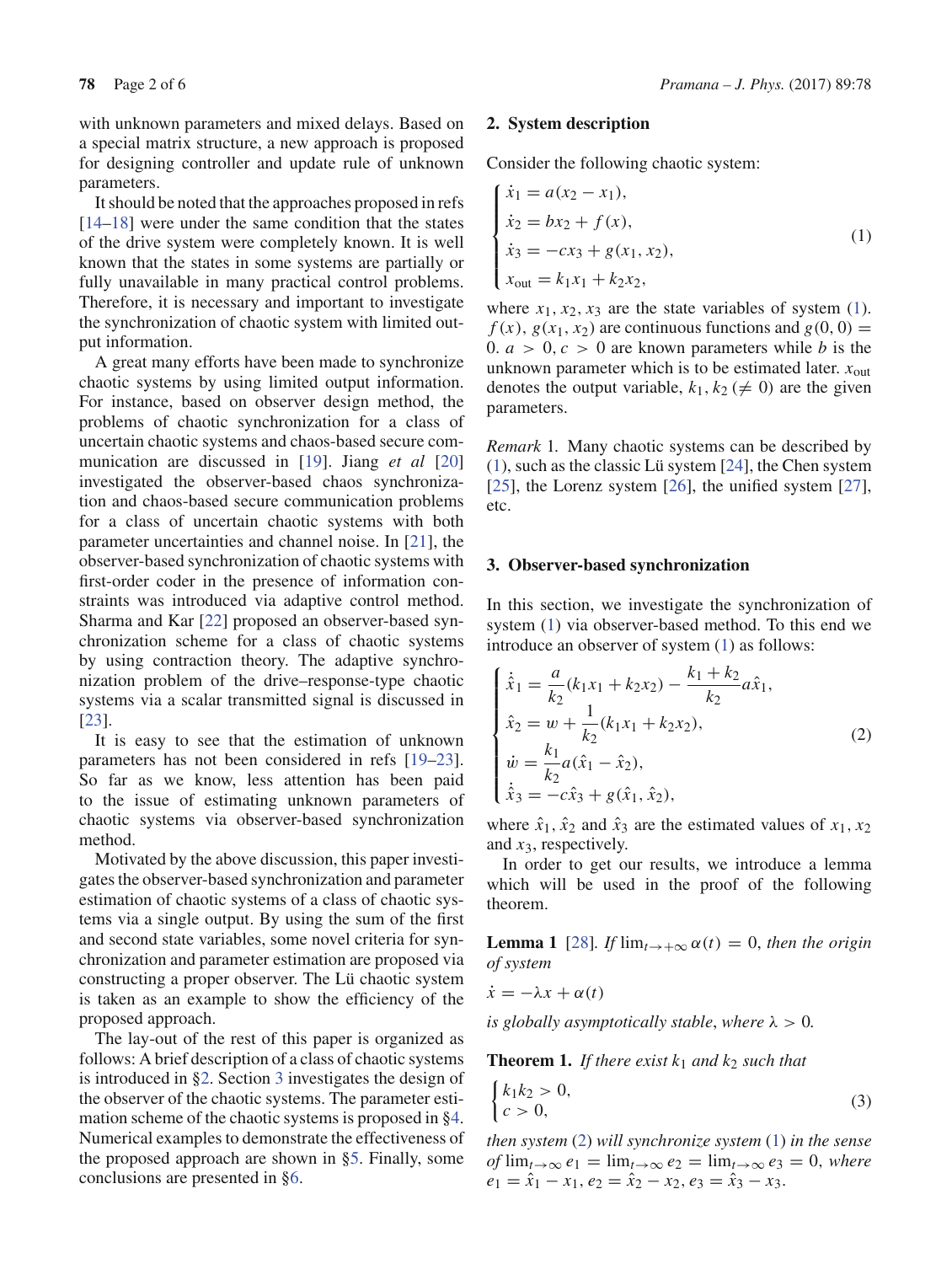with unknown parameters and mixed delays. Based on a special matrix structure, a new approach is proposed for designing controller and update rule of unknown parameters.

It should be noted that the approaches proposed in refs [14–18] were under the same condition that the states of the drive system were completely known. It is well known that the states in some systems are partially or fully unavailable in many practical control problems. Therefore, it is necessary and important to investigate the synchronization of chaotic system with limited output information.

A great many efforts have been made to synchronize chaotic systems by using limited output information. For instance, based on observer design method, the problems of chaotic synchronization for a class of uncertain chaotic systems and chaos-based secure communication are discussed in [19]. Jiang *et al* [20] investigated the observer-based chaos synchronization and chaos-based secure communication problems for a class of uncertain chaotic systems with both parameter uncertainties and channel noise. In [21], the observer-based synchronization of chaotic systems with first-order coder in the presence of information constraints was introduced via adaptive control method. Sharma and Kar [22] proposed an observer-based synchronization scheme for a class of chaotic systems by using contraction theory. The adaptive synchronization problem of the drive–response-type chaotic systems via a scalar transmitted signal is discussed in [23].

It is easy to see that the estimation of unknown parameters has not been considered in refs [19–23]. So far as we know, less attention has been paid to the issue of estimating unknown parameters of chaotic systems via observer-based synchronization method.

Motivated by the above discussion, this paper investigates the observer-based synchronization and parameter estimation of chaotic systems of a class of chaotic systems via a single output. By using the sum of the first and second state variables, some novel criteria for synchronization and parameter estimation are proposed via constructing a proper observer. The Lü chaotic system is taken as an example to show the efficiency of the proposed approach.

The lay-out of the rest of this paper is organized as follows: A brief description of a class of chaotic systems is introduced in §2. Section 3 investigates the design of the observer of the chaotic systems. The parameter estimation scheme of the chaotic systems is proposed in §4. Numerical examples to demonstrate the effectiveness of the proposed approach are shown in §5. Finally, some conclusions are presented in §6.

### **2. System description**

Consider the following chaotic system:

$$
\begin{cases}\n\dot{x}_1 = a(x_2 - x_1), \\
\dot{x}_2 = bx_2 + f(x), \\
\dot{x}_3 = -cx_3 + g(x_1, x_2), \\
x_{\text{out}} = k_1 x_1 + k_2 x_2,\n\end{cases}
$$
\n(1)

where  $x_1, x_2, x_3$  are the state variables of system (1).  $f(x)$ ,  $g(x_1, x_2)$  are continuous functions and  $g(0, 0) =$ 0.  $a > 0$ ,  $c > 0$  are known parameters while *b* is the unknown parameter which is to be estimated later.  $x_{\text{out}}$ denotes the output variable,  $k_1, k_2 \neq 0$  are the given parameters.

*Remark* 1*.* Many chaotic systems can be described by (1), such as the classic Lü system [24], the Chen system [25], the Lorenz system [26], the unified system [27], etc.

# **3. Observer-based synchronization**

In this section, we investigate the synchronization of system (1) via observer-based method. To this end we introduce an observer of system (1) as follows:

$$
\begin{cases}\n\dot{\hat{x}}_1 = \frac{a}{k_2}(k_1x_1 + k_2x_2) - \frac{k_1 + k_2}{k_2}a\hat{x}_1, \\
\hat{x}_2 = w + \frac{1}{k_2}(k_1x_1 + k_2x_2), \\
\dot{w} = \frac{k_1}{k_2}a(\hat{x}_1 - \hat{x}_2), \\
\dot{\hat{x}}_3 = -c\hat{x}_3 + g(\hat{x}_1, \hat{x}_2),\n\end{cases}
$$
\n(2)

where  $\hat{x}_1$ ,  $\hat{x}_2$  and  $\hat{x}_3$  are the estimated values of  $x_1$ ,  $x_2$ and *x*3, respectively.

In order to get our results, we introduce a lemma which will be used in the proof of the following theorem.

**Lemma 1** [28]*. If*  $\lim_{t\to+\infty} \alpha(t) = 0$ *, then the origin of system*

$$
\dot{x} = -\lambda x + \alpha(t)
$$

*is globally asymptotically stable, where*  $\lambda > 0$ *.* 

**Theorem 1.** If there exist  $k_1$  and  $k_2$  such that

$$
\begin{cases} k_1 k_2 > 0, \\ c > 0, \end{cases} \tag{3}
$$

*then system* (2) *will synchronize system* (1) *in the sense*  $of \lim_{t \to \infty} e_1 = \lim_{t \to \infty} e_2 = \lim_{t \to \infty} e_3 = 0$ , where  $e_1 = \hat{x}_1 - x_1, e_2 = \hat{x}_2 - x_2, e_3 = \hat{x}_3 - x_3.$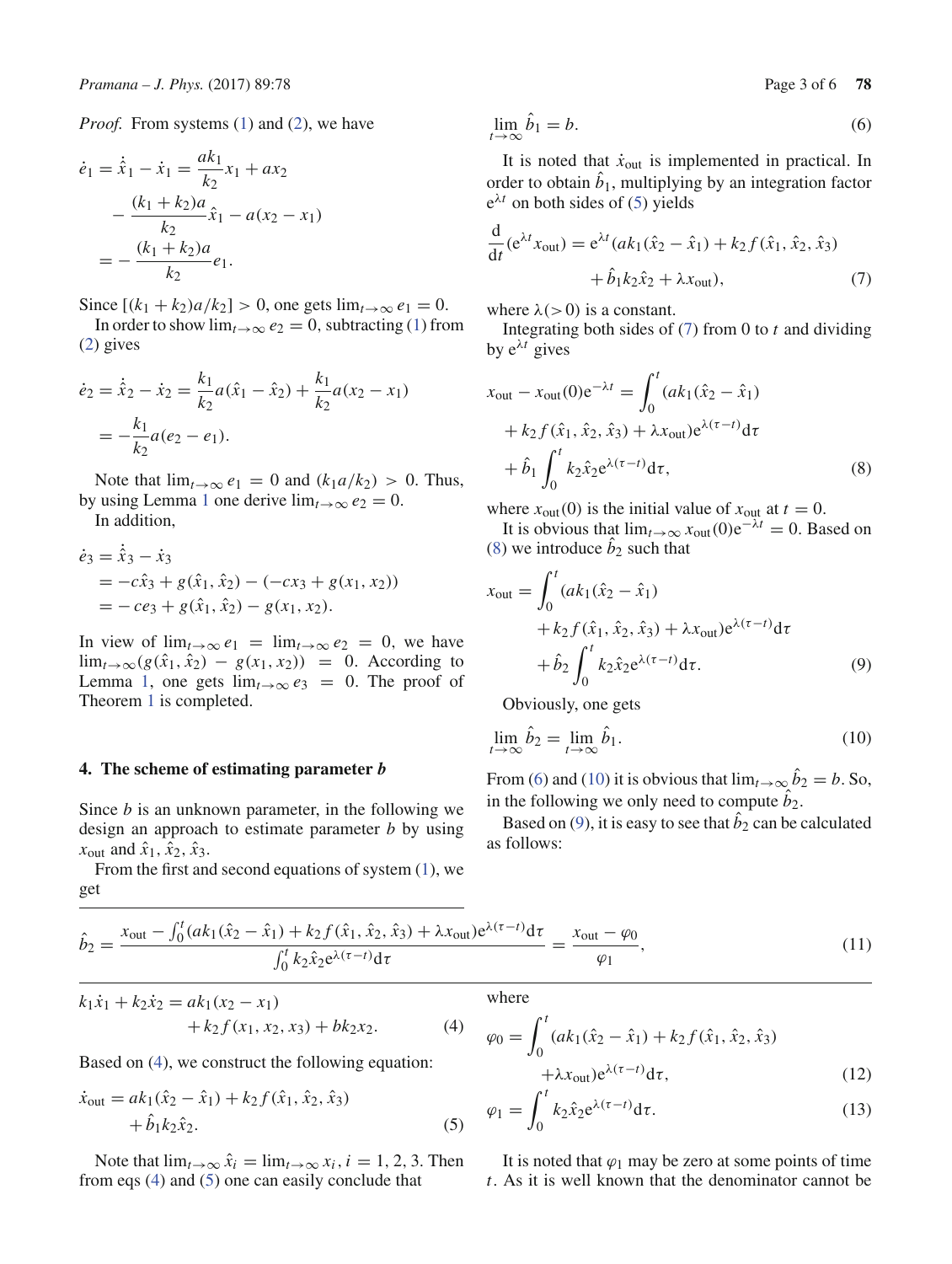*Proof.* From systems (1) and (2), we have

$$
\dot{e}_1 = \dot{\hat{x}}_1 - \dot{x}_1 = \frac{ak_1}{k_2} x_1 + ax_2
$$

$$
- \frac{(k_1 + k_2)a}{k_2} \hat{x}_1 - a(x_2 - x_1)
$$

$$
= - \frac{(k_1 + k_2)a}{k_2} e_1.
$$

Since  $[(k_1 + k_2)a/k_2] > 0$ , one gets  $\lim_{t \to \infty} e_1 = 0$ .

In order to show  $\lim_{t\to\infty}e_2=0$ , subtracting (1) from (2) gives

$$
\dot{e}_2 = \dot{\hat{x}}_2 - \dot{x}_2 = \frac{k_1}{k_2} a(\hat{x}_1 - \hat{x}_2) + \frac{k_1}{k_2} a(x_2 - x_1)
$$

$$
= -\frac{k_1}{k_2} a(e_2 - e_1).
$$

Note that  $\lim_{t\to\infty}e_1=0$  and  $(k_1a/k_2)>0$ . Thus, by using Lemma 1 one derive  $\lim_{t\to\infty}e_2=0$ .

In addition,

$$
\begin{aligned} \dot{e}_3 &= \hat{x}_3 - \dot{x}_3 \\ &= -c\hat{x}_3 + g(\hat{x}_1, \hat{x}_2) - (-cx_3 + g(x_1, x_2)) \\ &= -ce_3 + g(\hat{x}_1, \hat{x}_2) - g(x_1, x_2). \end{aligned}
$$

In view of  $\lim_{t\to\infty}e_1 = \lim_{t\to\infty}e_2 = 0$ , we have lim<sub>*t*→∞</sub>( $g(\hat{x}_1, \hat{x}_2) - g(x_1, x_2)$ ) = 0. According to Lemma 1, one gets  $\lim_{t\to\infty} e_3 = 0$ . The proof of Theorem 1 is completed.

#### **4. The scheme of estimating parameter** *b*

Since *b* is an unknown parameter, in the following we design an approach to estimate parameter *b* by using  $x_{\text{out}}$  and  $\hat{x}_1$ ,  $\hat{x}_2$ ,  $\hat{x}_3$ .

From the first and second equations of system  $(1)$ , we get

$$
\lim_{t \to \infty} \hat{b}_1 = b. \tag{6}
$$

It is noted that  $\dot{x}_{out}$  is implemented in practical. In order to obtain  $b_1$ , multiplying by an integration factor  $e^{\lambda t}$  on both sides of (5) yields

$$
\frac{d}{dt}(e^{\lambda t}x_{\text{out}}) = e^{\lambda t}(ak_1(\hat{x}_2 - \hat{x}_1) + k_2 f(\hat{x}_1, \hat{x}_2, \hat{x}_3) \n+ \hat{b}_1 k_2 \hat{x}_2 + \lambda x_{\text{out}}),
$$
\n(7)

where  $\lambda$ ( $>$ 0) is a constant.

Integrating both sides of (7) from 0 to *t* and dividing by  $e^{\lambda t}$  gives

$$
x_{\text{out}} - x_{\text{out}}(0)e^{-\lambda t} = \int_0^t (ak_1(\hat{x}_2 - \hat{x}_1) + k_2 f(\hat{x}_1, \hat{x}_2, \hat{x}_3) + \lambda x_{\text{out}}) e^{\lambda(\tau - t)} d\tau
$$
  
+  $\hat{b}_1 \int_0^t k_2 \hat{x}_2 e^{\lambda(\tau - t)} d\tau,$  (8)

where  $x_{\text{out}}(0)$  is the initial value of  $x_{\text{out}}$  at  $t = 0$ .

It is obvious that  $\lim_{t\to\infty} x_{\text{out}}(0)e^{-\lambda t} = 0$ . Based on (8) we introduce  $b_2$  such that

$$
x_{\text{out}} = \int_0^t (ak_1(\hat{x}_2 - \hat{x}_1) + k_2 f(\hat{x}_1, \hat{x}_2, \hat{x}_3) + \lambda x_{\text{out}}) e^{\lambda(\tau - t)} d\tau + \hat{b}_2 \int_0^t k_2 \hat{x}_2 e^{\lambda(\tau - t)} d\tau.
$$
 (9)

Obviously, one gets

$$
\lim_{t \to \infty} \hat{b}_2 = \lim_{t \to \infty} \hat{b}_1.
$$
\n(10)

From (6) and (10) it is obvious that  $\lim_{t\to\infty} b_2 = b$ . So, in the following we only need to compute  $b_2$ .

Based on  $(9)$ , it is easy to see that  $b_2$  can be calculated as follows:

$$
\hat{b}_2 = \frac{x_{\text{out}} - \int_0^t (ak_1(\hat{x}_2 - \hat{x}_1) + k_2 f(\hat{x}_1, \hat{x}_2, \hat{x}_3) + \lambda x_{\text{out}}) e^{\lambda(\tau - t)} d\tau}{\int_0^t k_2 \hat{x}_2 e^{\lambda(\tau - t)} d\tau} = \frac{x_{\text{out}} - \varphi_0}{\varphi_1},\tag{11}
$$

$$
k_1\dot{x}_1 + k_2\dot{x}_2 = ak_1(x_2 - x_1) + k_2 f(x_1, x_2, x_3) + bk_2x_2.
$$
 (4)

Based on (4), we construct the following equation:

$$
\begin{aligned} \dot{x}_{\text{out}} &= ak_1(\hat{x}_2 - \hat{x}_1) + k_2 f(\hat{x}_1, \hat{x}_2, \hat{x}_3) \\ &+ \hat{b}_1 k_2 \hat{x}_2. \end{aligned} \tag{5}
$$

Note that  $\lim_{t\to\infty} \hat{x}_i = \lim_{t\to\infty} x_i, i = 1, 2, 3$ . Then from eqs (4) and (5) one can easily conclude that

where

$$
\varphi_0 = \int_0^t (ak_1(\hat{x}_2 - \hat{x}_1) + k_2 f(\hat{x}_1, \hat{x}_2, \hat{x}_3) + \lambda x_{\text{out}}) e^{\lambda(\tau - t)} d\tau,
$$
\n(12)

$$
= \int_{0}^{t} k_{2} \hat{x}_{2} e^{\lambda(\tau - t)} d\tau.
$$
 (13)

$$
\varphi_1 = \int_0^{\infty} k_2 \hat{x}_2 e^{\Lambda(t-t)} d\tau.
$$
\n(13)

It is noted that  $\varphi_1$  may be zero at some points of time *t*. As it is well known that the denominator cannot be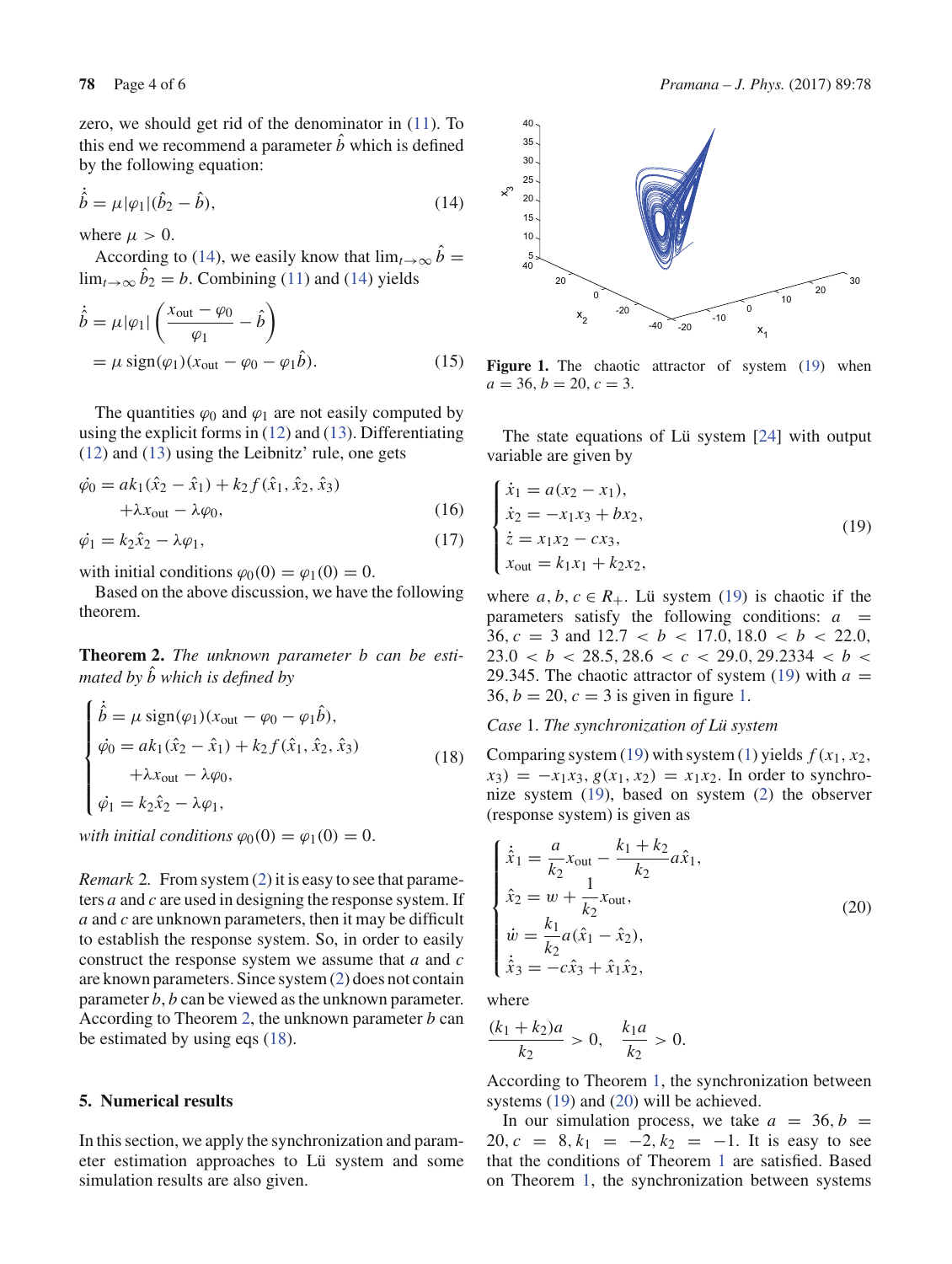zero, we should get rid of the denominator in (11). To this end we recommend a parameter  $\hat{b}$  which is defined by the following equation:

$$
\dot{\hat{b}} = \mu |\varphi_1| (\hat{b}_2 - \hat{b}), \tag{14}
$$

where  $\mu > 0$ .

According to (14), we easily know that  $\lim_{t\to\infty} \hat{b} =$  $\lim_{t\to\infty} b_2 = b$ . Combining (11) and (14) yields

$$
\dot{\hat{b}} = \mu |\varphi_1| \left( \frac{x_{\text{out}} - \varphi_0}{\varphi_1} - \hat{b} \right)
$$
  
=  $\mu \text{ sign}(\varphi_1)(x_{\text{out}} - \varphi_0 - \varphi_1 \hat{b}).$  (15)

The quantities  $\varphi_0$  and  $\varphi_1$  are not easily computed by using the explicit forms in (12) and (13). Differentiating (12) and (13) using the Leibnitz' rule, one gets

$$
\dot{\varphi}_0 = ak_1(\hat{x}_2 - \hat{x}_1) + k_2 f(\hat{x}_1, \hat{x}_2, \hat{x}_3) \n+ \lambda x_{\text{out}} - \lambda \varphi_0,
$$
\n(16)

 $\dot{\varphi}_1 = k_2 \hat{x}_2 - \lambda \varphi_1,$ (17)

with initial conditions  $\varphi_0(0) = \varphi_1(0) = 0$ .

Based on the above discussion, we have the following theorem.

**Theorem 2.** *The unknown parameter b can be estimated by b*ˆ *which is defined by*

$$
\begin{cases}\n\dot{\hat{b}} = \mu \operatorname{sign}(\varphi_1)(x_{\text{out}} - \varphi_0 - \varphi_1 \hat{b}), \\
\dot{\varphi}_0 = ak_1(\hat{x}_2 - \hat{x}_1) + k_2 f(\hat{x}_1, \hat{x}_2, \hat{x}_3) \\
+ \lambda x_{\text{out}} - \lambda \varphi_0, \\
\dot{\varphi}_1 = k_2 \hat{x}_2 - \lambda \varphi_1,\n\end{cases}
$$
\n(18)

*with initial conditions*  $\varphi_0(0) = \varphi_1(0) = 0$ .

*Remark* 2*.* From system (2) it is easy to see that parameters *a* and *c* are used in designing the response system. If *a* and *c* are unknown parameters, then it may be difficult to establish the response system. So, in order to easily construct the response system we assume that *a* and *c* are known parameters. Since system (2) does not contain parameter *b*, *b* can be viewed as the unknown parameter. According to Theorem 2, the unknown parameter *b* can be estimated by using eqs (18).

# **5. Numerical results**

In this section, we apply the synchronization and parameter estimation approaches to Lü system and some simulation results are also given.



Figure 1. The chaotic attractor of system (19) when  $a = 36, b = 20, c = 3.$ 

The state equations of Lü system [24] with output variable are given by

$$
\begin{cases}\n\dot{x}_1 = a(x_2 - x_1), \\
\dot{x}_2 = -x_1x_3 + bx_2, \\
\dot{z} = x_1x_2 - cx_3, \\
x_{\text{out}} = k_1x_1 + k_2x_2,\n\end{cases}
$$
\n(19)

where  $a, b, c \in R_+$ . Lü system (19) is chaotic if the parameters satisfy the following conditions:  $a =$ 36,  $c = 3$  and  $12.7 < b < 17.0, 18.0 < b < 22.0$ ,  $23.0 < b < 28.5, 28.6 < c < 29.0, 29.2334 < b <$ 29.345. The chaotic attractor of system (19) with  $a =$ 36,  $b = 20$ ,  $c = 3$  is given in figure 1.

# *Case* 1. *The synchronization of Lü system*

Comparing system (19) with system (1) yields  $f(x_1, x_2)$ ,  $x_3$ ) =  $-x_1x_3$ ,  $g(x_1, x_2) = x_1x_2$ . In order to synchronize system (19), based on system (2) the observer (response system) is given as

$$
\begin{cases}\n\dot{\hat{x}}_1 = \frac{a}{k_2} x_{\text{out}} - \frac{k_1 + k_2}{k_2} a \hat{x}_1, \\
\hat{x}_2 = w + \frac{1}{k_2} x_{\text{out}}, \\
\dot{w} = \frac{k_1}{k_2} a (\hat{x}_1 - \hat{x}_2), \\
\dot{\hat{x}}_3 = -c \hat{x}_3 + \hat{x}_1 \hat{x}_2,\n\end{cases}
$$
\n(20)

where

$$
\frac{(k_1+k_2)a}{k_2} > 0, \quad \frac{k_1a}{k_2} > 0.
$$

According to Theorem 1, the synchronization between systems (19) and (20) will be achieved.

In our simulation process, we take  $a = 36, b =$ 20,  $c = 8, k_1 = -2, k_2 = -1$ . It is easy to see that the conditions of Theorem 1 are satisfied. Based on Theorem 1, the synchronization between systems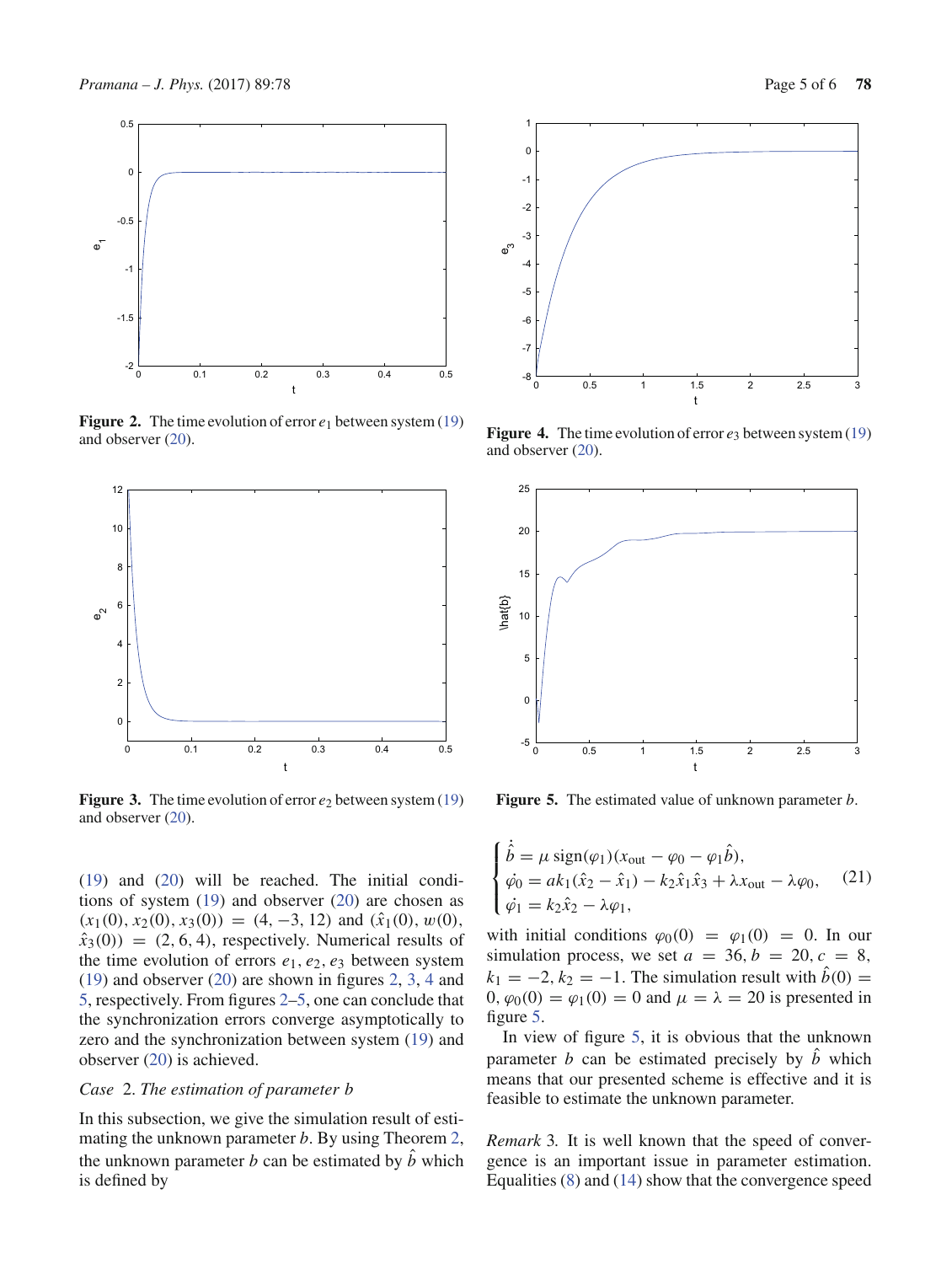

**Figure 2.** The time evolution of error *e*<sup>1</sup> between system (19) and observer (20).



**Figure 3.** The time evolution of error  $e_2$  between system (19) and observer (20).

(19) and (20) will be reached. The initial conditions of system (19) and observer (20) are chosen as  $(x_1(0), x_2(0), x_3(0)) = (4, -3, 12)$  and  $(\hat{x}_1(0), w(0),$  $\hat{x}_3(0)$  = (2, 6, 4), respectively. Numerical results of the time evolution of errors  $e_1, e_2, e_3$  between system (19) and observer (20) are shown in figures 2, 3, 4 and 5, respectively. From figures 2–5, one can conclude that the synchronization errors converge asymptotically to zero and the synchronization between system (19) and observer (20) is achieved.

## *Case* 2. *The estimation of parameter b*

In this subsection, we give the simulation result of estimating the unknown parameter *b*. By using Theorem 2, the unknown parameter *b* can be estimated by  $\hat{b}$  which is defined by



**Figure 4.** The time evolution of error  $e_3$  between system (19) and observer (20).



**Figure 5.** The estimated value of unknown parameter *b*.

$$
\begin{cases} \n\dot{\hat{b}} = \mu \operatorname{sign}(\varphi_1)(x_{\text{out}} - \varphi_0 - \varphi_1 \hat{b}), \\
\dot{\varphi}_0 = ak_1(\hat{x}_2 - \hat{x}_1) - k_2 \hat{x}_1 \hat{x}_3 + \lambda x_{\text{out}} - \lambda \varphi_0, \\
\dot{\varphi}_1 = k_2 \hat{x}_2 - \lambda \varphi_1,\n\end{cases} \tag{21}
$$

with initial conditions  $\varphi_0(0) = \varphi_1(0) = 0$ . In our simulation process, we set  $a = 36$ ,  $b = 20$ ,  $c = 8$ ,  $k_1 = -2, k_2 = -1$ . The simulation result with  $\hat{b}(0) =$  $0, \varphi_0(0) = \varphi_1(0) = 0$  and  $\mu = \lambda = 20$  is presented in figure 5.

In view of figure 5, it is obvious that the unknown parameter *b* can be estimated precisely by  $\hat{b}$  which means that our presented scheme is effective and it is feasible to estimate the unknown parameter.

*Remark* 3*.* It is well known that the speed of convergence is an important issue in parameter estimation. Equalities (8) and (14) show that the convergence speed